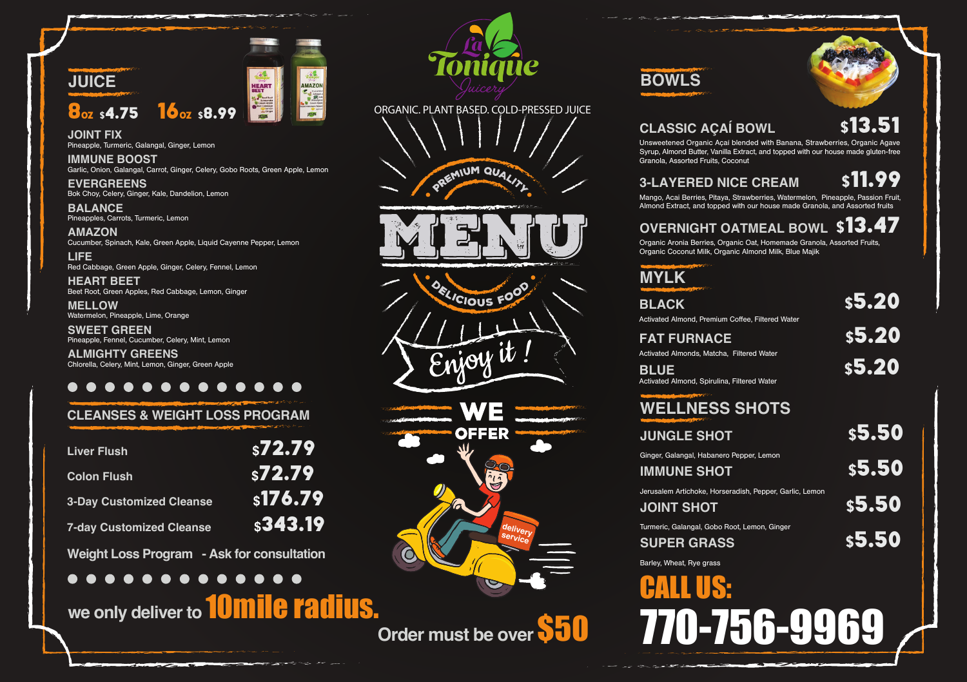

**JOINT FIX** Pineapple, Turmeric, Galangal, Ginger, Lemon

**IMMUNE BOOST** Garlic, Onion, Galangal, Carrot, Ginger, Celery, Gobo Roots, Green Apple, Lemon

**EVERGREENS** Bok Choy, Celery, Ginger, Kale, Dandelion, Lemon

**BALANCE** Pineapples, Carrots, Turmeric, Lemon

**AMAZON** Cucumber, Spinach, Kale, Green Apple, Liquid Cayenne Pepper, Lemon

**LIFE** Red Cabbage, Green Apple, Ginger, Celery, Fennel, Lemon

**HEART BEET** Beet Root, Green Apples, Red Cabbage, Lemon, Ginger

**MELLOW** Watermelon, Pineapple, Lime, Orange

**SWEET GREEN** Pineapple, Fennel, Cucumber, Celery, Mint, Lemon **ALMIGHTY GREENS** Chlorella, Celery, Mint, Lemon, Ginger, Green Apple

## . . . . . . . . . . . . .

### **CLEANSES & WEIGHT LOSS PROGRAM**

| <b>Liver Flush</b>              | \$72.79 |
|---------------------------------|---------|
| <b>Colon Flush</b>              | \$72.79 |
| <b>3-Day Customized Cleanse</b> | s176.79 |
| <b>7-day Customized Cleanse</b> | s343.19 |
|                                 |         |

**Weight Loss Program - Ask for consultation**  $0.00000000000000$ 

# **we only deliver to** 10mile radius.









**Order must be over \$50** 

# **BOWLS**





Unsweetened Organic Açaí blended with Banana, Strawberries, Organic Agave Syrup, Almond Butter, Vanilla Extract, and topped with our house made gluten-free Granola, Assorted Fruits, Coconut

# **3-LAYERED NICE CREAM**

Mango, Acai Berries, Pitaya, Strawberries, Watermelon, Pineapple, Passion Fruit, Almond Extract, and topped with our house made Granola, and Assorted fruits

# **OVERNIGHT OATMEAL BOWL** \$13.47

Organic Aronia Berries, Organic Oat, Homemade Granola, Assorted Fruits, Organic Coconut Milk, Organic Almond Milk, Blue Majik

| <b>MYLK</b>                                                      |        |
|------------------------------------------------------------------|--------|
| <b>BLACK</b><br>Activated Almond, Premium Coffee, Filtered Water | \$5.20 |
| <b>FAT FURNACE</b><br>Activated Almonds, Matcha, Filtered Water  | \$5.20 |
| <b>BLUE</b><br>Activated Almond, Spirulina, Filtered Water       | \$5.20 |
| <b>WELLNESS SHOTS</b>                                            |        |
| <b>JUNGLE SHOT</b>                                               | \$5.50 |

Ginger, Galangal, Habanero Pepper, Lemon

| <b>IMMUNE SHOT</b>                                                           | <b>s5.50</b> |
|------------------------------------------------------------------------------|--------------|
| Jerusalem Artichoke, Horseradish, Pepper, Garlic, Lemon<br><b>JOINT SHOT</b> | \$5.50       |
| Turmeric, Galangal, Gobo Root, Lemon, Ginger<br><b>SUPER GRASS</b>           | s5.50        |

Barley, Wheat, Rye grass

ľ CALL US: 770-756-9969